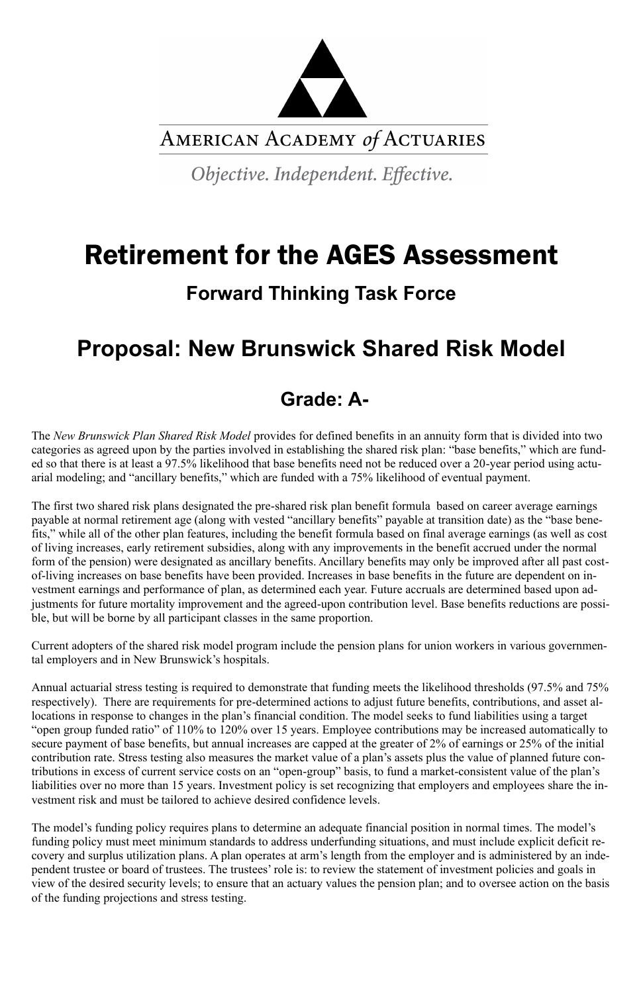

AMERICAN ACADEMY of ACTUARIES

Objective. Independent. Effective.

# Retirement for the AGES Assessment

### **Forward Thinking Task Force**

## **Proposal: New Brunswick Shared Risk Model**

### **Grade: A-**

The *New Brunswick Plan Shared Risk Model* provides for defined benefits in an annuity form that is divided into two categories as agreed upon by the parties involved in establishing the shared risk plan: "base benefits," which are funded so that there is at least a 97.5% likelihood that base benefits need not be reduced over a 20-year period using actuarial modeling; and "ancillary benefits," which are funded with a 75% likelihood of eventual payment.

The first two shared risk plans designated the pre-shared risk plan benefit formula based on career average earnings payable at normal retirement age (along with vested "ancillary benefits" payable at transition date) as the "base benefits," while all of the other plan features, including the benefit formula based on final average earnings (as well as cost of living increases, early retirement subsidies, along with any improvements in the benefit accrued under the normal form of the pension) were designated as ancillary benefits. Ancillary benefits may only be improved after all past costof-living increases on base benefits have been provided. Increases in base benefits in the future are dependent on investment earnings and performance of plan, as determined each year. Future accruals are determined based upon adjustments for future mortality improvement and the agreed-upon contribution level. Base benefits reductions are possible, but will be borne by all participant classes in the same proportion.

Current adopters of the shared risk model program include the pension plans for union workers in various governmental employers and in New Brunswick's hospitals.

Annual actuarial stress testing is required to demonstrate that funding meets the likelihood thresholds (97.5% and 75% respectively). There are requirements for pre-determined actions to adjust future benefits, contributions, and asset allocations in response to changes in the plan's financial condition. The model seeks to fund liabilities using a target "open group funded ratio" of 110% to 120% over 15 years. Employee contributions may be increased automatically to secure payment of base benefits, but annual increases are capped at the greater of 2% of earnings or 25% of the initial contribution rate. Stress testing also measures the market value of a plan's assets plus the value of planned future contributions in excess of current service costs on an "open-group" basis, to fund a market-consistent value of the plan's liabilities over no more than 15 years. Investment policy is set recognizing that employers and employees share the investment risk and must be tailored to achieve desired confidence levels.

The model's funding policy requires plans to determine an adequate financial position in normal times. The model's funding policy must meet minimum standards to address underfunding situations, and must include explicit deficit recovery and surplus utilization plans. A plan operates at arm's length from the employer and is administered by an independent trustee or board of trustees. The trustees' role is: to review the statement of investment policies and goals in view of the desired security levels; to ensure that an actuary values the pension plan; and to oversee action on the basis of the funding projections and stress testing.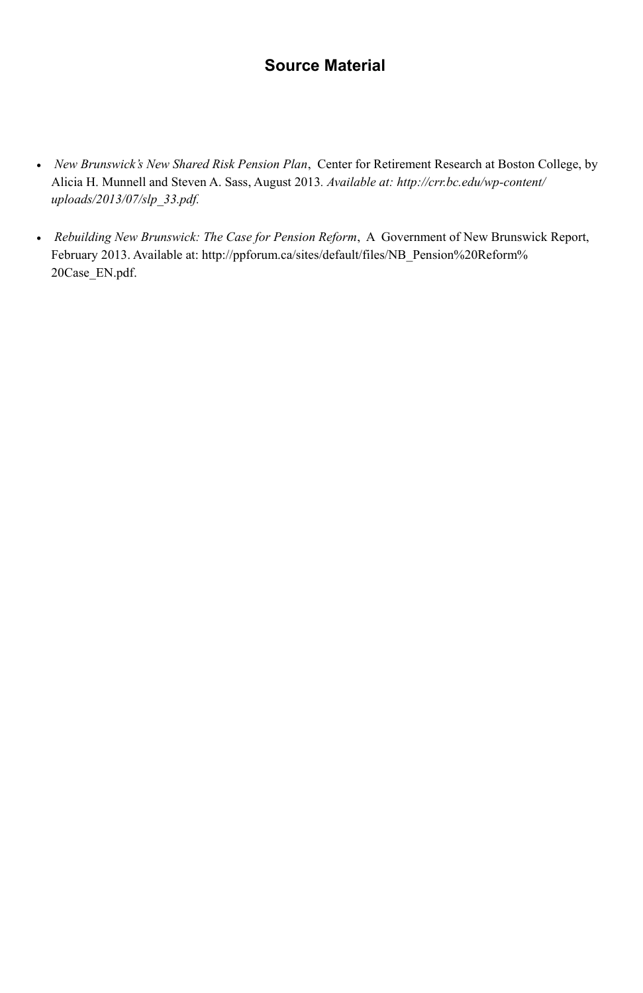### **Source Material**

- *New Brunswick's New Shared Risk Pension Plan*, Center for Retirement Research at Boston College, by Alicia H. Munnell and Steven A. Sass, August 2013*. Available at: http://crr.bc.edu/wp-content/ uploads/2013/07/slp\_33.pdf.*
- *Rebuilding New Brunswick: The Case for Pension Reform*, A Government of New Brunswick Report, February 2013. Available at: http://ppforum.ca/sites/default/files/NB\_Pension%20Reform% 20Case\_EN.pdf.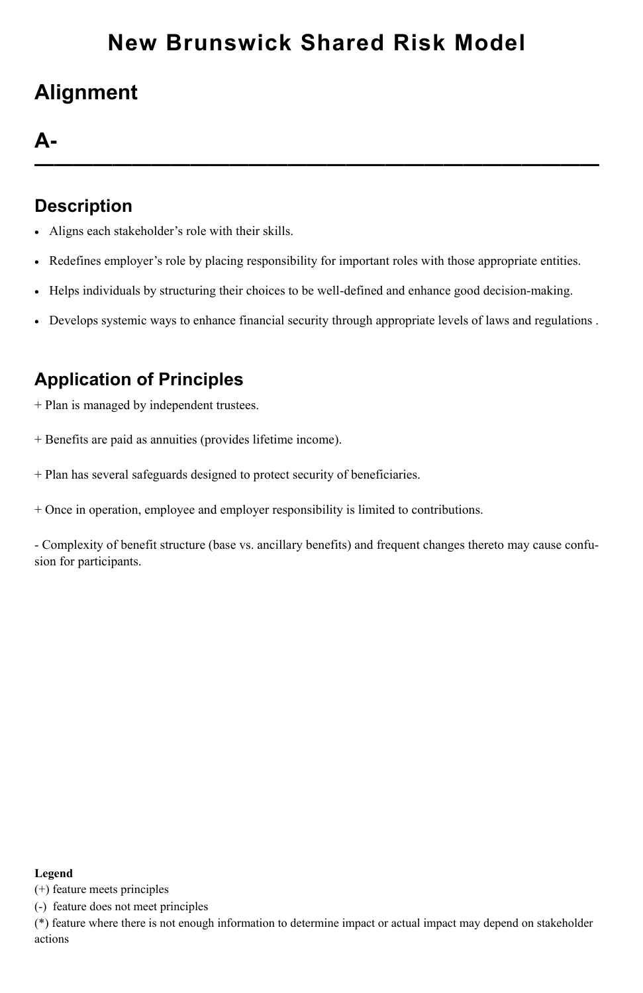## **Alignment**

### **A-**

**—————————————————————————————**

### **Description**

- Aligns each stakeholder's role with their skills.
- Redefines employer's role by placing responsibility for important roles with those appropriate entities.
- Helps individuals by structuring their choices to be well-defined and enhance good decision-making.
- Develops systemic ways to enhance financial security through appropriate levels of laws and regulations .

### **Application of Principles**

- + Plan is managed by independent trustees.
- + Benefits are paid as annuities (provides lifetime income).
- + Plan has several safeguards designed to protect security of beneficiaries.
- + Once in operation, employee and employer responsibility is limited to contributions.

- Complexity of benefit structure (base vs. ancillary benefits) and frequent changes thereto may cause confusion for participants.

#### **Legend**

(+) feature meets principles

(-) feature does not meet principles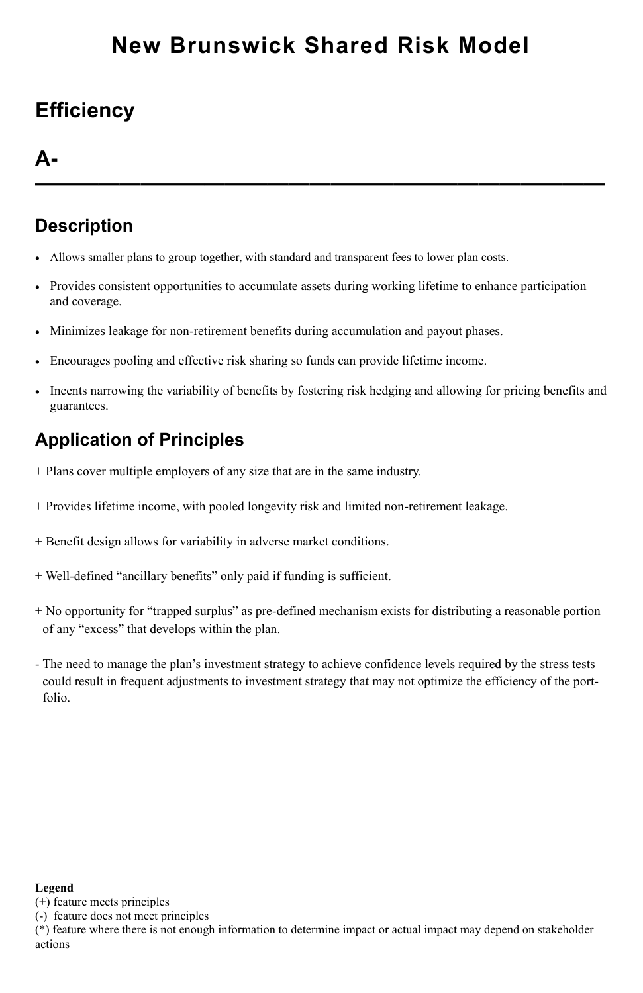## **Efficiency**

### **A-**

**———————————————————————————**

### **Description**

- Allows smaller plans to group together, with standard and transparent fees to lower plan costs.
- Provides consistent opportunities to accumulate assets during working lifetime to enhance participation and coverage.
- Minimizes leakage for non-retirement benefits during accumulation and payout phases.
- Encourages pooling and effective risk sharing so funds can provide lifetime income.
- Incents narrowing the variability of benefits by fostering risk hedging and allowing for pricing benefits and guarantees.

### **Application of Principles**

- + Plans cover multiple employers of any size that are in the same industry.
- + Provides lifetime income, with pooled longevity risk and limited non-retirement leakage.
- + Benefit design allows for variability in adverse market conditions.
- + Well-defined "ancillary benefits" only paid if funding is sufficient.
- + No opportunity for "trapped surplus" as pre-defined mechanism exists for distributing a reasonable portion of any "excess" that develops within the plan.
- The need to manage the plan's investment strategy to achieve confidence levels required by the stress tests could result in frequent adjustments to investment strategy that may not optimize the efficiency of the portfolio.

#### **Legend**

(+) feature meets principles

(-) feature does not meet principles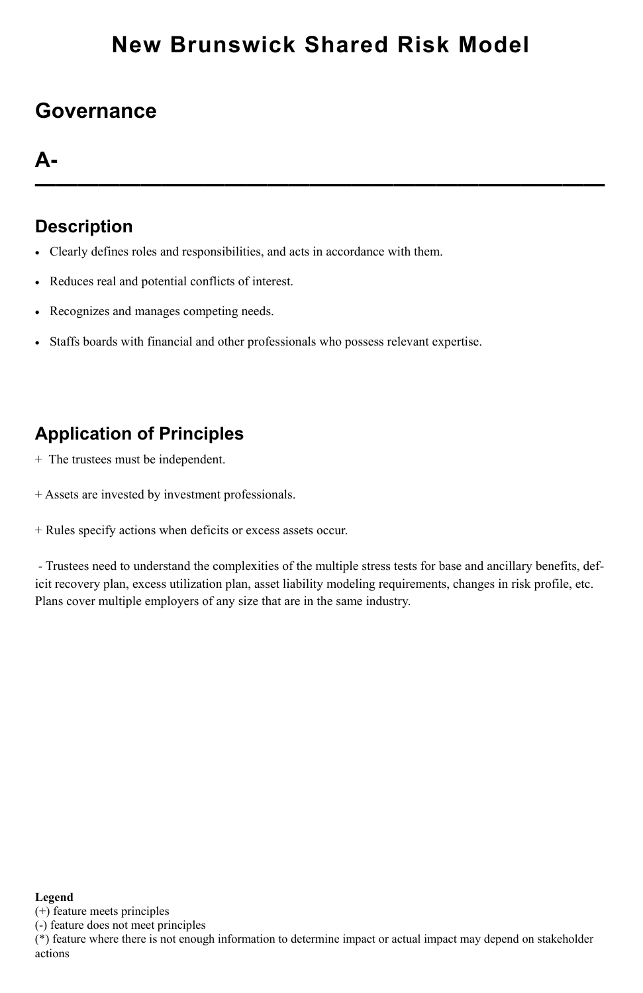### **Governance**

### **A-**

**———————————————————————————**

### **Description**

- Clearly defines roles and responsibilities, and acts in accordance with them.
- Reduces real and potential conflicts of interest.
- Recognizes and manages competing needs.
- Staffs boards with financial and other professionals who possess relevant expertise.

### **Application of Principles**

- + The trustees must be independent.
- + Assets are invested by investment professionals.
- + Rules specify actions when deficits or excess assets occur.

- Trustees need to understand the complexities of the multiple stress tests for base and ancillary benefits, deficit recovery plan, excess utilization plan, asset liability modeling requirements, changes in risk profile, etc. Plans cover multiple employers of any size that are in the same industry.

#### **Legend**

(+) feature meets principles

(-) feature does not meet principles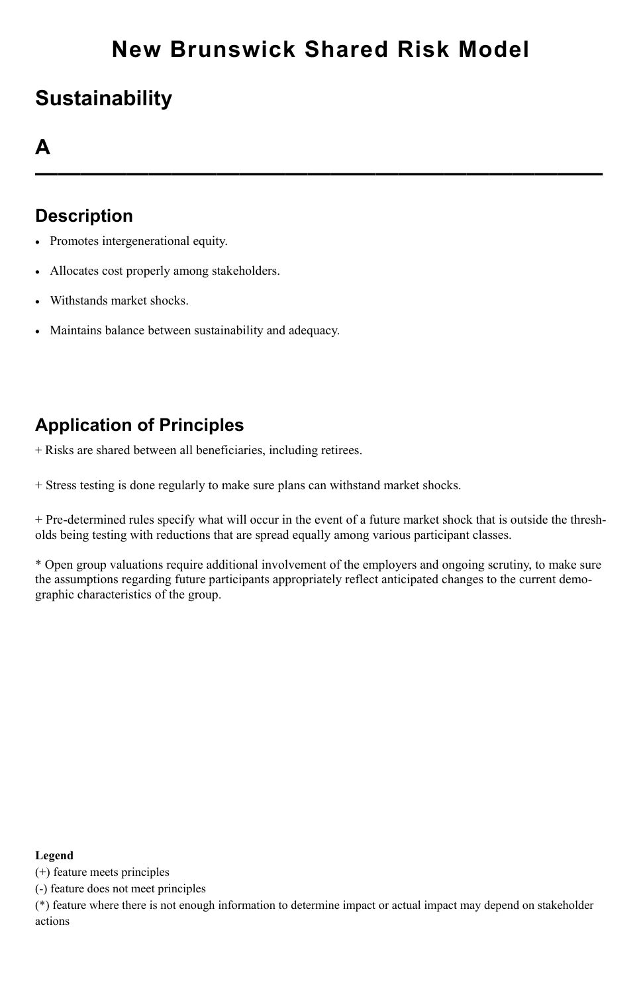## **Sustainability**

### **A**

**—————————————————————————**

### **Description**

- Promotes intergenerational equity.
- Allocates cost properly among stakeholders.
- Withstands market shocks.
- Maintains balance between sustainability and adequacy.

### **Application of Principles**

+ Risks are shared between all beneficiaries, including retirees.

+ Stress testing is done regularly to make sure plans can withstand market shocks.

+ Pre-determined rules specify what will occur in the event of a future market shock that is outside the thresholds being testing with reductions that are spread equally among various participant classes.

\* Open group valuations require additional involvement of the employers and ongoing scrutiny, to make sure the assumptions regarding future participants appropriately reflect anticipated changes to the current demographic characteristics of the group.

#### **Legend**

(+) feature meets principles

(-) feature does not meet principles